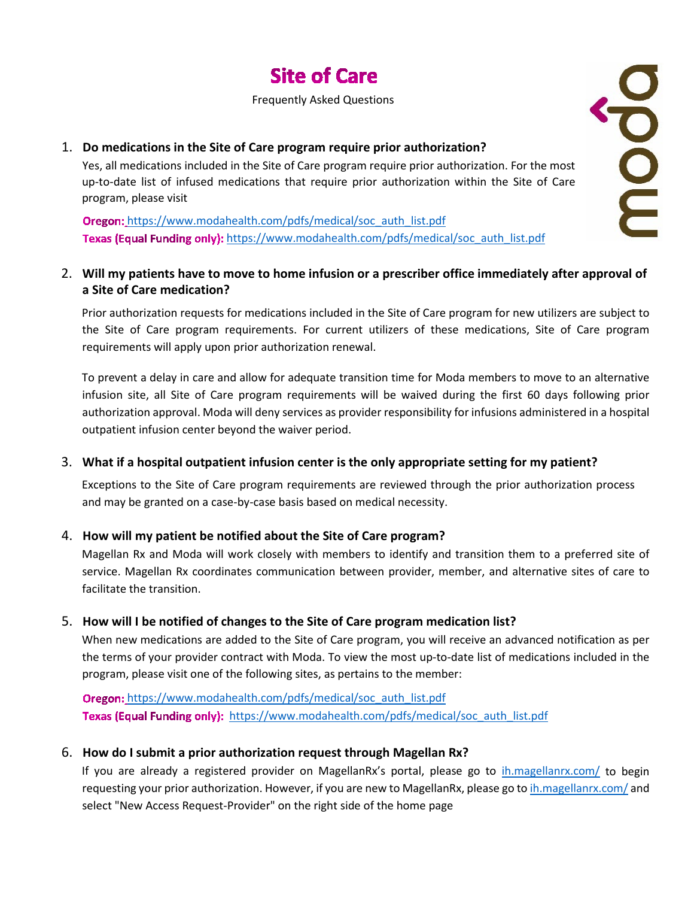# **Site of Care**

Frequently Asked Questions

### 1. **Do medications in the Site of Care program require prior authorization?**

Yes, all medications included in the Site of Care program require prior authorization. For the most up-to-date list of infused medications that require prior authorization within the Site of Care program, please visit

Oregon: [https://www.modahealth.com/pdfs/medical/soc\\_auth\\_list.pdf](https://www.modahealth.com/pdfs/medical/soc_auth_list.pdf) Texas (Equal Funding only): https://www.modahealth.com/pdfs/medical/soc\_auth\_list.pdf

## 2. **Will my patients have to move to home infusion or a prescriber office immediately after approval of a Site of Care medication?**

Prior authorization requests for medications included in the Site of Care program for new utilizers are subject to the Site of Care program requirements. For current utilizers of these medications, Site of Care program requirements will apply upon prior authorization renewal.

To prevent a delay in care and allow for adequate transition time for Moda members to move to an alternative infusion site, all Site of Care program requirements will be waived during the first 60 days following prior authorization approval. Moda will deny services as provider responsibility for infusions administered in a hospital outpatient infusion center beyond the waiver period.

#### 3. **What if a hospital outpatient infusion center is the only appropriate setting for my patient?**

Exceptions to the Site of Care program requirements are reviewed through the prior authorization process and may be granted on a case-by-case basis based on medical necessity.

#### 4. **How will my patient be notified about the Site of Care program?**

Magellan Rx and Moda will work closely with members to identify and transition them to a preferred site of service. Magellan Rx coordinates communication between provider, member, and alternative sites of care to facilitate the transition.

#### 5. **How will I be notified of changes to the Site of Care program medication list?**

When new medications are added to the Site of Care program, you will receive an advanced notification as per the terms of your provider contract with Moda. To view the most up-to-date list of medications included in the program, please visit one of the following sites, as pertains to the member:

Oregon: [https://www.modahealth.com/pdfs/medical/soc\\_auth\\_list.pdf](https://www.modahealth.com/pdfs/medical/soc_auth_list.pdf) Texas (Equal Funding only): [https://www.modahealth.com/pdfs/medical/soc\\_auth\\_list.pdf](https://www.modahealth.com/pdfs/medical/soc_auth_list.pdf)

#### 6. **How do I submit a prior authorization request through Magellan Rx?**

If you are already a registered provider on MagellanRx's portal, please go to [ih.magellanrx.com/](https://www1.magellanrx.com/medical-rx-prior-authorization/) to begin requesting your prior authorization. However, if you are new to MagellanRx, please go t[o ih.magellanrx.com/](https://www1.magellanrx.com/medical-rx-prior-authorization/) and select "New Access Request-Provider" on the right side of the home page